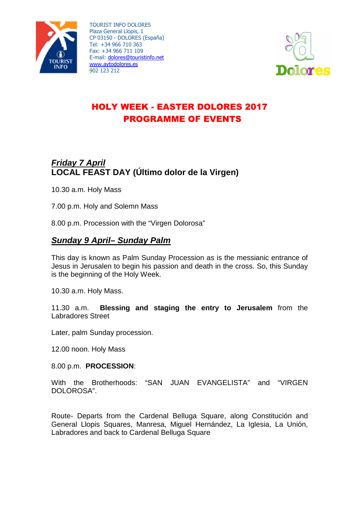



# HOLY WEEK - EASTER DOLORES 2017 PROGRAMME OF EVENTS

# **Friday 7 April LOCAL FEAST DAY (Último dolor de la Virgen)**

10.30 a.m. Holy Mass

7.00 p.m. Holy and Solemn Mass

8.00 p.m. Procession with the "Virgen Dolorosa"

## **Sunday 9 April– Sunday Palm**

This day is known as Palm Sunday Procession as is the messianic entrance of Jesus in Jerusalen to begin his passion and death in the cross. So, this Sunday is the beginning of the Holy Week.

10.30 a.m. Holy Mass.

11.30 a.m. **Blessing and staging the entry to Jerusalem** from the Labradores Street

Later, palm Sunday procession.

12.00 noon. Holy Mass

#### 8.00 p.m. **PROCESSION**:

With the Brotherhoods: "SAN JUAN EVANGELISTA" and "VIRGEN DOLOROSA".

Route- Departs from the Cardenal Belluga Square, along Constitución and General Llopis Squares, Manresa, Miguel Hernández, La Iglesia, La Unión, Labradores and back to Cardenal Belluga Square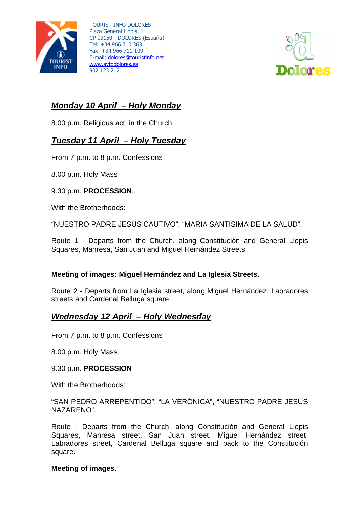



# **Monday 10 April – Holy Monday**

8.00 p.m. Religious act, in the Church

## **Tuesday 11 April – Holy Tuesday**

From 7 p.m. to 8 p.m. Confessions

8.00 p.m. Holy Mass

#### 9.30 p.m. **PROCESSION**.

With the Brotherhoods:

"NUESTRO PADRE JESUS CAUTIVO", "MARIA SANTISIMA DE LA SALUD".

Route 1 - Departs from the Church, along Constitución and General Llopis Squares, Manresa, San Juan and Miguel Hernández Streets.

### **Meeting of images: Miguel Hernández and La Iglesia Streets.**

Route 2 - Departs from La Iglesia street, along Miguel Hernández, Labradores streets and Cardenal Belluga square

### **Wednesday 12 April – Holy Wednesday**

From 7 p.m. to 8 p.m. Confessions

8.00 p.m. Holy Mass

#### 9.30 p.m. **PROCESSION**

With the Brotherhoods:

"SAN PEDRO ARREPENTIDO", "LA VERÓNICA", "NUESTRO PADRE JESÚS NAZARENO".

Route - Departs from the Church, along Constitución and General Llopis Squares, Manresa street, San Juan street, Miguel Hernández street, Labradores street, Cardenal Belluga square and back to the Constitución square.

#### **Meeting of images.**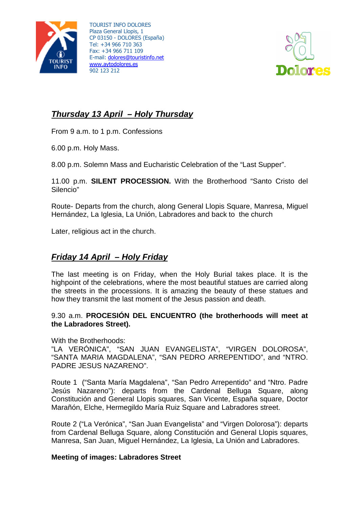



# **Thursday 13 April – Holy Thursday**

From 9 a.m. to 1 p.m. Confessions

6.00 p.m. Holy Mass.

8.00 p.m. Solemn Mass and Eucharistic Celebration of the "Last Supper".

11.00 p.m. **SILENT PROCESSION.** With the Brotherhood "Santo Cristo del Silencio"

Route- Departs from the church, along General Llopis Square, Manresa, Miguel Hernández, La Iglesia, La Unión, Labradores and back to the church

Later, religious act in the church.

# **Friday 14 April – Holy Friday**

The last meeting is on Friday, when the Holy Burial takes place. It is the highpoint of the celebrations, where the most beautiful statues are carried along the streets in the processions. It is amazing the beauty of these statues and how they transmit the last moment of the Jesus passion and death.

### 9.30 a.m. **PROCESIÓN DEL ENCUENTRO (the brotherhoods will meet at the Labradores Street).**

With the Brotherhoods:

"LA VERÓNICA", "SAN JUAN EVANGELISTA", "VIRGEN DOLOROSA", "SANTA MARIA MAGDALENA", "SAN PEDRO ARREPENTIDO", and "NTRO. PADRE JESUS NAZARENO".

Route 1 ("Santa María Magdalena", "San Pedro Arrepentido" and "Ntro. Padre Jesús Nazareno"): departs from the Cardenal Belluga Square, along Constitución and General Llopis squares, San Vicente, España square, Doctor Marañón, Elche, Hermegildo María Ruiz Square and Labradores street.

Route 2 ("La Verónica", "San Juan Evangelista" and "Virgen Dolorosa"): departs from Cardenal Belluga Square, along Constitución and General Llopis squares, Manresa, San Juan, Miguel Hernández, La Iglesia, La Unión and Labradores.

### **Meeting of images: Labradores Street**